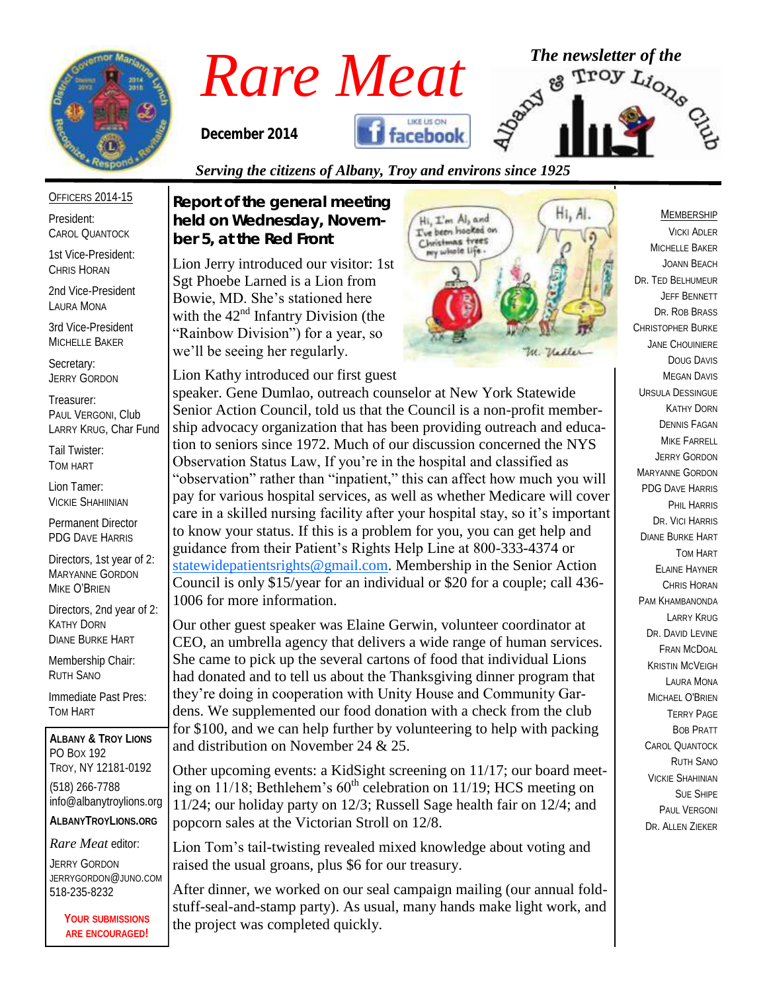

OFFICERS 2014-15

3rd Vice-President MICHELLE BAKER

PAUL VERGONI, Club LARRY KRUG, Char Fund

Directors, 2nd year of 2:

Immediate Past Pres:

**ALBANY & TROY LIONS**

TROY, NY 12181-0192 (518) 266-7788

info@albanytroylions.org **ALBANYTROYLIONS.ORG** *Rare Meat* editor: JERRY GORDON

JERRYGORDON@JUNO.COM

518-235-8232

KATHY DORN DIANE BURKE HART Membership Chair: RUTH SANO

TOM HART

PO BOX 192

Secretary: JERRY GORDON Treasurer:

Tail Twister: TOM HART Lion Tamer: VICKIE SHAHIINIAN Permanent Director PDG DAVE HARRIS Directors, 1st year of 2: MARYANNE GORDON MIKE O'BRIEN

President: CAROL QUANTOCK 1st Vice-President: CHRIS HORAN 2nd Vice-President LAURA MONA

# *Rare Meat* <sup>The newsletter of the second of the second the second the second street  $\mathbb{R}^{3}$  and  $\mathbb{R}^{3}$  and  $\mathbb{R}^{3}$  and  $\mathbb{R}^{3}$ </sup>

*December 2014* 



### *Serving the citizens of Albany, Troy and environs since 1925*

*Report of the general meeting held on Wednesday, November 5, at the Red Front*

Lion Jerry introduced our visitor: 1st Sgt Phoebe Larned is a Lion from Bowie, MD. She's stationed here with the  $42<sup>nd</sup>$  Infantry Division (the "Rainbow Division") for a year, so we'll be seeing her regularly.

Lion Kathy introduced our first guest



speaker. Gene Dumlao, outreach counselor at New York Statewide Senior Action Council, told us that the Council is a non-profit membership advocacy organization that has been providing outreach and education to seniors since 1972. Much of our discussion concerned the NYS Observation Status Law, If you're in the hospital and classified as "observation" rather than "inpatient," this can affect how much you will pay for various hospital services, as well as whether Medicare will cover care in a skilled nursing facility after your hospital stay, so it's important to know your status. If this is a problem for you, you can get help and guidance from their Patient's Rights Help Line at 800-333-4374 or [statewidepatientsrights@gmail.com.](mailto:statewidepatientsrights@gmail.com) Membership in the Senior Action Council is only \$15/year for an individual or \$20 for a couple; call 436- 1006 for more information.

Our other guest speaker was Elaine Gerwin, volunteer coordinator at CEO, an umbrella agency that delivers a wide range of human services. She came to pick up the several cartons of food that individual Lions had donated and to tell us about the Thanksgiving dinner program that they're doing in cooperation with Unity House and Community Gardens. We supplemented our food donation with a check from the club for \$100, and we can help further by volunteering to help with packing and distribution on November 24 & 25.

Other upcoming events: a KidSight screening on 11/17; our board meeting on  $11/18$ ; Bethlehem's  $60<sup>th</sup>$  celebration on  $11/19$ ; HCS meeting on 11/24; our holiday party on 12/3; Russell Sage health fair on 12/4; and popcorn sales at the Victorian Stroll on 12/8.

Lion Tom's tail-twisting revealed mixed knowledge about voting and raised the usual groans, plus \$6 for our treasury.

After dinner, we worked on our seal campaign mailing (our annual foldstuff-seal-and-stamp party). As usual, many hands make light work, and the project was completed quickly.

#### MEMBERSHIP

VICKI ADLER MICHELLE BAKER JOANN BEACH DR. TED BELHUMEUR JEFF BENNETT DR. ROB BRASS CHRISTOPHER BURKE JANE CHOUINIERE DOUG DAVIS MEGAN DAVIS URSULA DESSINGUE KATHY DORN DENNIS FAGAN MIKE FARRELL JERRY GORDON MARYANNE GORDON PDG DAVE HARRIS PHIL HARRIS DR. VICI HARRIS DIANE BURKE HART TOM HART ELAINE HAYNER CHRIS HORAN PAM KHAMBANONDA LARRY KRUG DR. DAVID I FVINE FRAN MCDOAL KRISTIN MCVEIGH LAURA MONA MICHAEL O'BRIEN TERRY PAGE BOB PRATT CAROL QUANTOCK RUTH SANO VICKIE SHAHINIAN SUE SHIPE PAUL VERGONI DR. ALLEN ZIEKER

**YOUR SUBMISSIONS ARE ENCOURAGED!**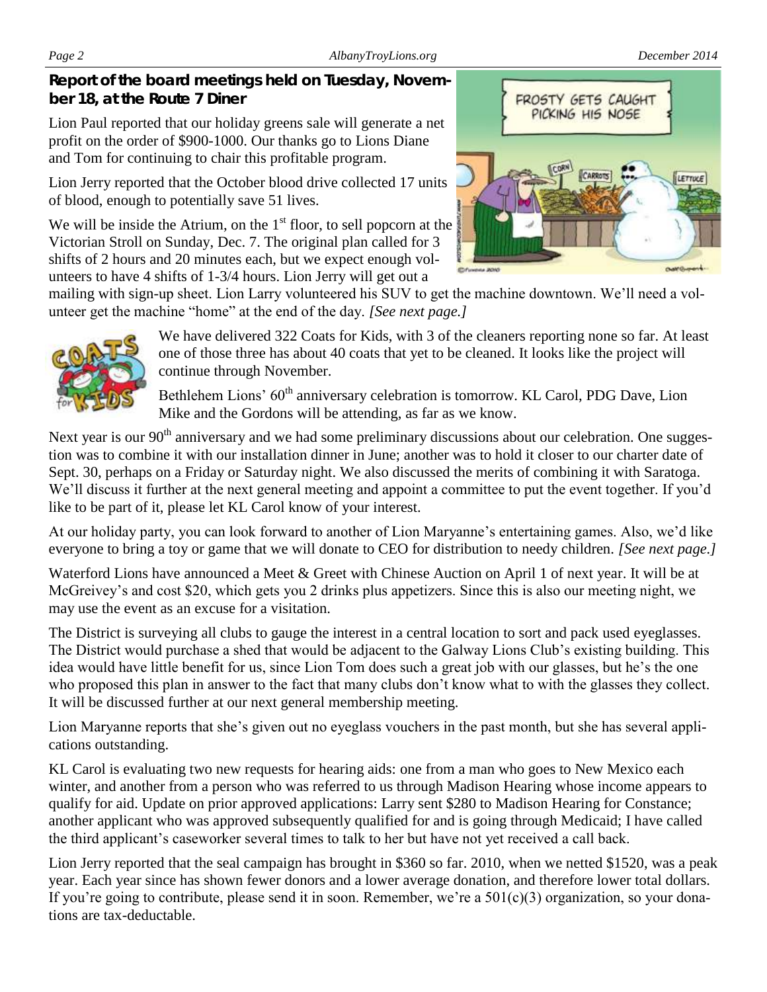*Page 2 AlbanyTroyLions.org December 2014*

*Report of the board meetings held on Tuesday, November 18, at the Route 7 Diner* 

Lion Paul reported that our holiday greens sale will generate a net profit on the order of \$900-1000. Our thanks go to Lions Diane and Tom for continuing to chair this profitable program.

Lion Jerry reported that the October blood drive collected 17 units of blood, enough to potentially save 51 lives.

We will be inside the Atrium, on the  $1<sup>st</sup>$  floor, to sell popcorn at the Victorian Stroll on Sunday, Dec. 7. The original plan called for 3 shifts of 2 hours and 20 minutes each, but we expect enough volunteers to have 4 shifts of 1-3/4 hours. Lion Jerry will get out a

mailing with sign-up sheet. Lion Larry volunteered his SUV to get the machine downtown. We'll need a volunteer get the machine "home" at the end of the day. *[See next page.]*

> We have delivered 322 Coats for Kids, with 3 of the cleaners reporting none so far. At least one of those three has about 40 coats that yet to be cleaned. It looks like the project will continue through November.

Bethlehem Lions' 60<sup>th</sup> anniversary celebration is tomorrow. KL Carol, PDG Dave, Lion Mike and the Gordons will be attending, as far as we know.

Next year is our 90<sup>th</sup> anniversary and we had some preliminary discussions about our celebration. One suggestion was to combine it with our installation dinner in June; another was to hold it closer to our charter date of Sept. 30, perhaps on a Friday or Saturday night. We also discussed the merits of combining it with Saratoga. We'll discuss it further at the next general meeting and appoint a committee to put the event together. If you'd like to be part of it, please let KL Carol know of your interest.

At our holiday party, you can look forward to another of Lion Maryanne's entertaining games. Also, we'd like everyone to bring a toy or game that we will donate to CEO for distribution to needy children. *[See next page.]*

Waterford Lions have announced a Meet & Greet with Chinese Auction on April 1 of next year. It will be at McGreivey's and cost \$20, which gets you 2 drinks plus appetizers. Since this is also our meeting night, we may use the event as an excuse for a visitation.

The District is surveying all clubs to gauge the interest in a central location to sort and pack used eyeglasses. The District would purchase a shed that would be adjacent to the Galway Lions Club's existing building. This idea would have little benefit for us, since Lion Tom does such a great job with our glasses, but he's the one who proposed this plan in answer to the fact that many clubs don't know what to with the glasses they collect. It will be discussed further at our next general membership meeting.

Lion Maryanne reports that she's given out no eyeglass vouchers in the past month, but she has several applications outstanding.

KL Carol is evaluating two new requests for hearing aids: one from a man who goes to New Mexico each winter, and another from a person who was referred to us through Madison Hearing whose income appears to qualify for aid. Update on prior approved applications: Larry sent \$280 to Madison Hearing for Constance; another applicant who was approved subsequently qualified for and is going through Medicaid; I have called the third applicant's caseworker several times to talk to her but have not yet received a call back.

Lion Jerry reported that the seal campaign has brought in \$360 so far. 2010, when we netted \$1520, was a peak year. Each year since has shown fewer donors and a lower average donation, and therefore lower total dollars. If you're going to contribute, please send it in soon. Remember, we're a  $501(c)(3)$  organization, so your donations are tax-deductable.

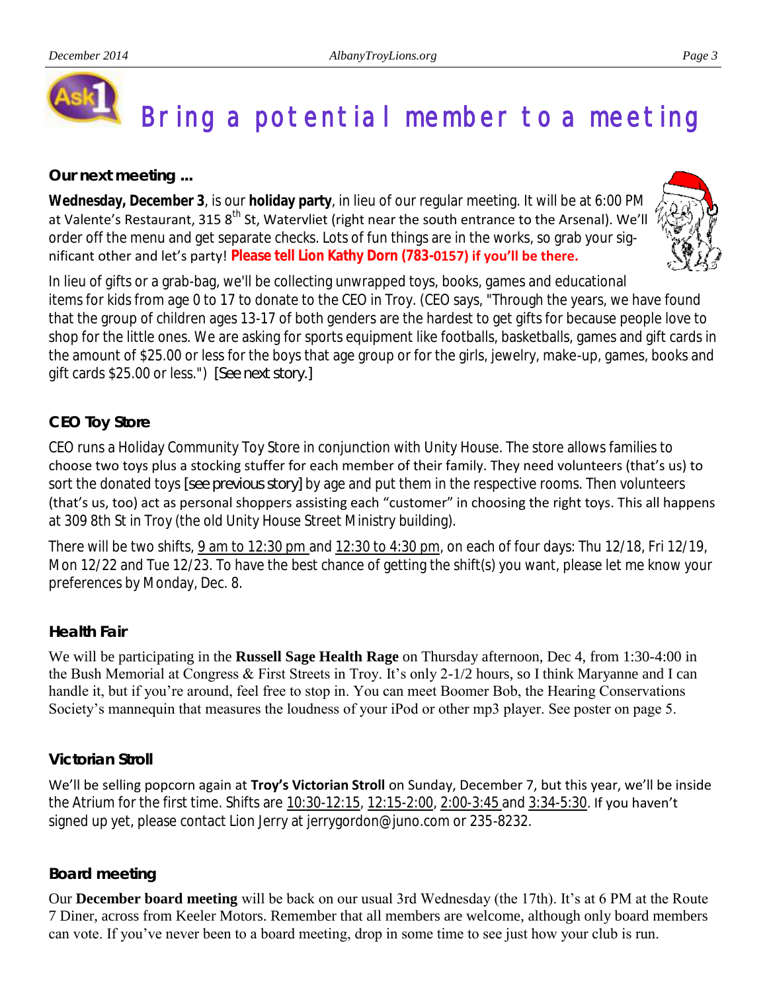

# Bring a potential member to a meeting

*Our next meeting ...*

**Wednesday, December 3**, is our **holiday party**, in lieu of our regular meeting. It will be at 6:00 PM at Valente's Restaurant, 315 8<sup>th</sup> St, Watervliet (right near the south entrance to the Arsenal). We'll order off the menu and get separate checks. Lots of fun things are in the works, so grab your significant other and let's party! **Please tell Lion Kathy Dorn (783-0157) if you'll be there.** 



In lieu of gifts or a grab-bag, we'll be collecting unwrapped toys, books, games and educational items for kids from age 0 to 17 to donate to the CEO in Troy. (CEO says, "Through the years, we have found that the group of children ages 13-17 of both genders are the hardest to get gifts for because people love to shop for the little ones. We are asking for sports equipment like footballs, basketballs, games and gift cards in the amount of \$25.00 or less for the boys that age group or for the girls, jewelry, make-up, games, books and gift cards \$25.00 or less.") *[See next story.]*

## *CEO Toy Store*

CEO runs a Holiday Community Toy Store in conjunction with Unity House. The store allows families to choose two toys plus a stocking stuffer for each member of their family. They need volunteers (that's us) to sort the donated toys *[see previous story]* by age and put them in the respective rooms. Then volunteers (that's us, too) act as personal shoppers assisting each "customer" in choosing the right toys. This all happens at 309 8th St in Troy (the old Unity House Street Ministry building).

There will be two shifts, 9 am to 12:30 pm and 12:30 to 4:30 pm, on each of four days: Thu 12/18, Fri 12/19, Mon 12/22 and Tue 12/23. To have the best chance of getting the shift(s) you want, please let me know your preferences by Monday, Dec. 8.

### *Health Fair*

We will be participating in the **Russell Sage Health Rage** on Thursday afternoon, Dec 4, from 1:30-4:00 in the Bush Memorial at Congress & First Streets in Troy. It's only 2-1/2 hours, so I think Maryanne and I can handle it, but if you're around, feel free to stop in. You can meet Boomer Bob, the Hearing Conservations Society's mannequin that measures the loudness of your iPod or other mp3 player. See poster on page 5.

### *Victorian Stroll*

We'll be selling popcorn again at **Troy's Victorian Stroll** on Sunday, December 7, but this year, we'll be inside the Atrium for the first time. Shifts are 10:30-12:15, 12:15-2:00, 2:00-3:45 and 3:34-5:30. If you haven't signed up yet, please contact Lion Jerry at jerrygordon@juno.com or 235-8232.

#### *Board meeting*

Our **December board meeting** will be back on our usual 3rd Wednesday (the 17th). It's at 6 PM at the Route 7 Diner, across from Keeler Motors. Remember that all members are welcome, although only board members can vote. If you've never been to a board meeting, drop in some time to see just how your club is run.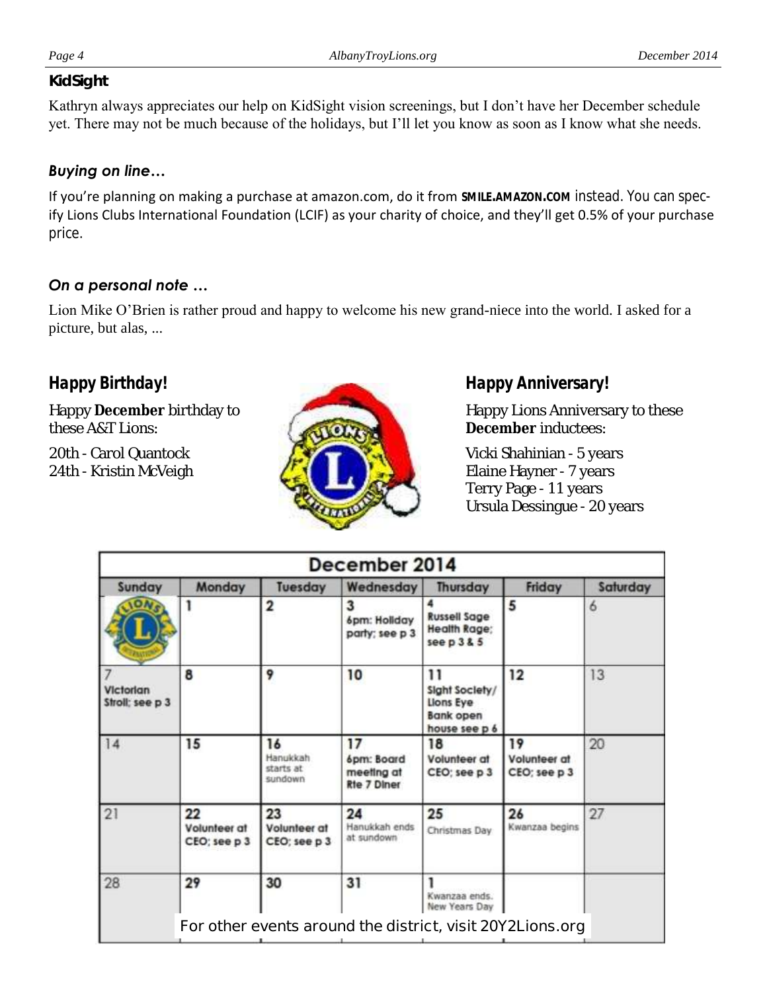#### *KidSight*

Kathryn always appreciates our help on KidSight vision screenings, but I don't have her December schedule yet. There may not be much because of the holidays, but I'll let you know as soon as I know what she needs.

#### *Buying on line…*

If you're planning on making a purchase at amazon.com, do it from **SMILE.AMAZON.COM** instead. You can specify Lions Clubs International Foundation (LCIF) as your charity of choice, and they'll get 0.5% of your purchase price.

### *On a personal note …*

Lion Mike O'Brien is rather proud and happy to welcome his new grand-niece into the world. I asked for a picture, but alas, ...

# *Happy Birthday!*

Happy **December** birthday to these A&T Lions:

20th - Carol Quantock 24th - Kristin McVeigh



## *Happy Anniversary!*

Happy Lions Anniversary to these **December** inductees:

Vicki Shahinian - 5 years Elaine Hayner - 7 years Terry Page - 11 years Ursula Dessingue - 20 years

| December 2014                |                                    |                                        |                                                           |                                                                 |                                    |          |
|------------------------------|------------------------------------|----------------------------------------|-----------------------------------------------------------|-----------------------------------------------------------------|------------------------------------|----------|
| Sunday                       | Monday                             | Tuesday                                | Wednesday                                                 | Thursday                                                        | Friday                             | Saturday |
|                              |                                    |                                        | 3<br>6pm: Hollday<br>party; see p 3                       | <b>Russell Sage</b><br><b>Health Rage;</b><br>see p385          | 5                                  | 6        |
| Victorian<br>Stroll: see p 3 | 8                                  | 9                                      | 10                                                        | 11<br>Sight Society/<br>Llons Eye<br>Bank open<br>house see p 6 | 12                                 | 13       |
| 14                           | 15                                 | 16<br>Hanukkah<br>starts at<br>sundown | 17<br>6pm: Board<br>meeting at<br><b>Rte 7 Diner</b>      | 18<br>Volunteer at<br>CEO: see p 3                              | 19<br>Volunteer at<br>CEO; see p 3 | 20       |
| 21                           | 22<br>Volunteer at<br>CEO; see p 3 | 23<br>Volunteer at<br>CEO; see p 3     | 24<br>Hanukkah ends<br>at sundown                         | 25<br>Christmas Dav                                             | 26<br>Kwanzaa begins               | 27       |
| 28                           | 29                                 | 30                                     | 31                                                        | Kwanzaa ends.<br>New Years Day                                  |                                    |          |
|                              |                                    |                                        | For other events around the district, visit 20Y2Lions.org |                                                                 |                                    |          |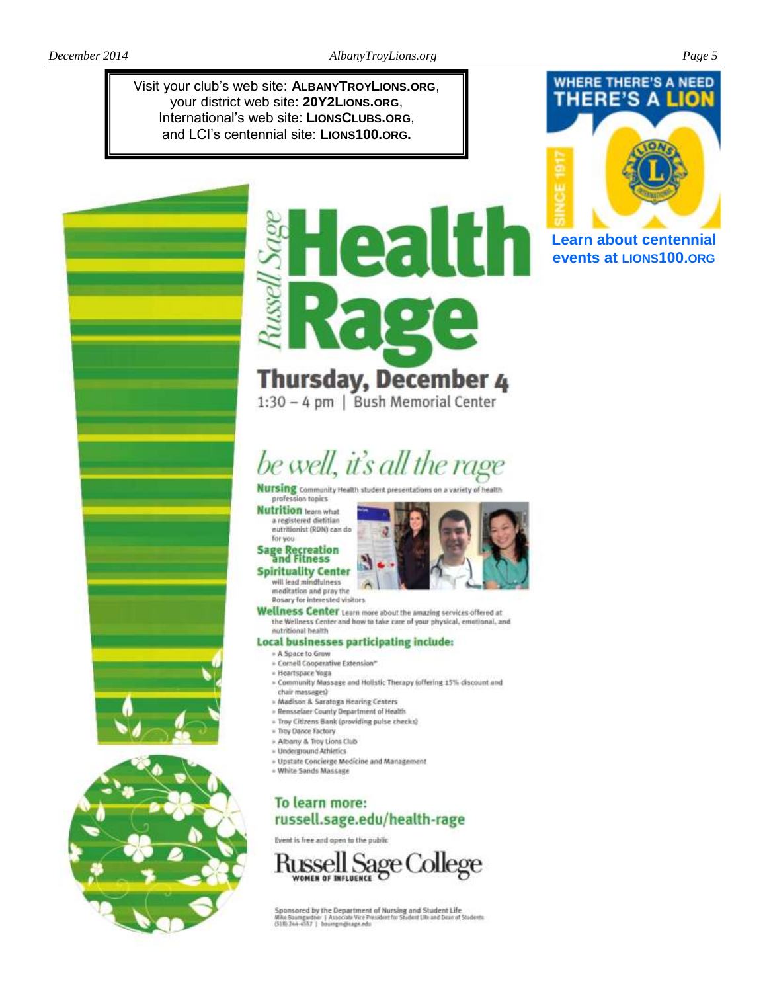Visit your club's web site: ALBANYTROYLIONS.ORG, your district web site: 20Y2LIONS.ORG, International's web site: LIONSCLUBS.ORG, and LCI's centennial site: LIONS100.ORG.



**Learn about centennial** events at LIONS100.ORG

# PF. **Thursday, December 4**

1:30 - 4 pm | Bush Memorial Center

# be well, it's all the rage

**Nursing** Community Health student presenta

#### profession topics **Nutrition** learn what

a registered dietitian nutritionist (RDN) can do



#### **Spirituality Center** will lead mindfulness

meditation and pray the

Rosary for interested visitors

Wellness Center Learn more about the amazing services offered at the Wellness Center and how to take care of your physical, emotional, and nutritional health

#### Local businesses participating include:

- » A Space to Grow
- » Cornell Cooperative Extension\*
- » Heartspace Yosta
- » Community Massage and Holistic Therapy (offering 15% discount and chair massages)
- » Madison & Saratoga Hearing Centers
- » Rensselaer County Department of Health
- » Troy Citizens Bank (providing pulse checks)
- » Tray Dance Factory
- » Albany & Troy Lions Club
- Underground Athletics
- » Upstate Concierge Medicine and Management
- White Sands Massage

### To learn more: russell.sage.edu/health-rage

Event is free and open to the public



Sponsored by the Department of Nursing and Student Life<br>MAe Baungudne: | Associate Vice President for Student Life and Dran of Students<br>(518) 244-4557 | baungregisage.edu